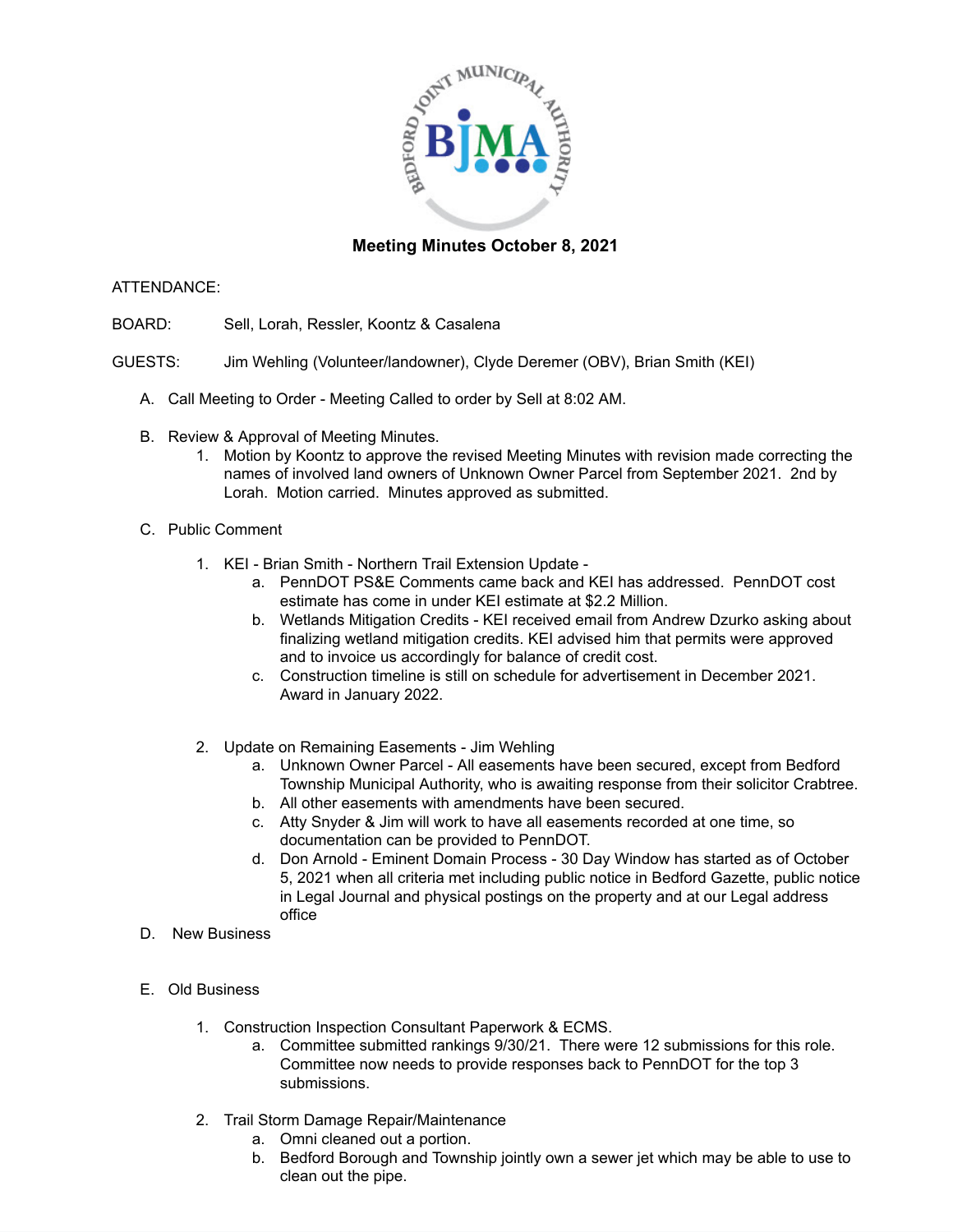

## **Meeting Minutes October 8, 2021**

## ATTENDANCE:

- BOARD: Sell, Lorah, Ressler, Koontz & Casalena
- GUESTS: Jim Wehling (Volunteer/landowner), Clyde Deremer (OBV), Brian Smith (KEI)
	- A. Call Meeting to Order Meeting Called to order by Sell at 8:02 AM.
	- B. Review & Approval of Meeting Minutes.
		- 1. Motion by Koontz to approve the revised Meeting Minutes with revision made correcting the names of involved land owners of Unknown Owner Parcel from September 2021. 2nd by Lorah. Motion carried. Minutes approved as submitted.
	- C. Public Comment
		- 1. KEI Brian Smith Northern Trail Extension Update
			- a. PennDOT PS&E Comments came back and KEI has addressed. PennDOT cost estimate has come in under KEI estimate at \$2.2 Million.
			- b. Wetlands Mitigation Credits KEI received email from Andrew Dzurko asking about finalizing wetland mitigation credits. KEI advised him that permits were approved and to invoice us accordingly for balance of credit cost.
			- c. Construction timeline is still on schedule for advertisement in December 2021. Award in January 2022.
		- 2. Update on Remaining Easements Jim Wehling
			- a. Unknown Owner Parcel All easements have been secured, except from Bedford Township Municipal Authority, who is awaiting response from their solicitor Crabtree.
			- b. All other easements with amendments have been secured.
			- c. Atty Snyder & Jim will work to have all easements recorded at one time, so documentation can be provided to PennDOT.
			- d. Don Arnold Eminent Domain Process 30 Day Window has started as of October 5, 2021 when all criteria met including public notice in Bedford Gazette, public notice in Legal Journal and physical postings on the property and at our Legal address office
	- D. New Business
	- E. Old Business
		- 1. Construction Inspection Consultant Paperwork & ECMS.
			- a. Committee submitted rankings 9/30/21. There were 12 submissions for this role. Committee now needs to provide responses back to PennDOT for the top 3 submissions.
		- 2. Trail Storm Damage Repair/Maintenance
			- a. Omni cleaned out a portion.
			- b. Bedford Borough and Township jointly own a sewer jet which may be able to use to clean out the pipe.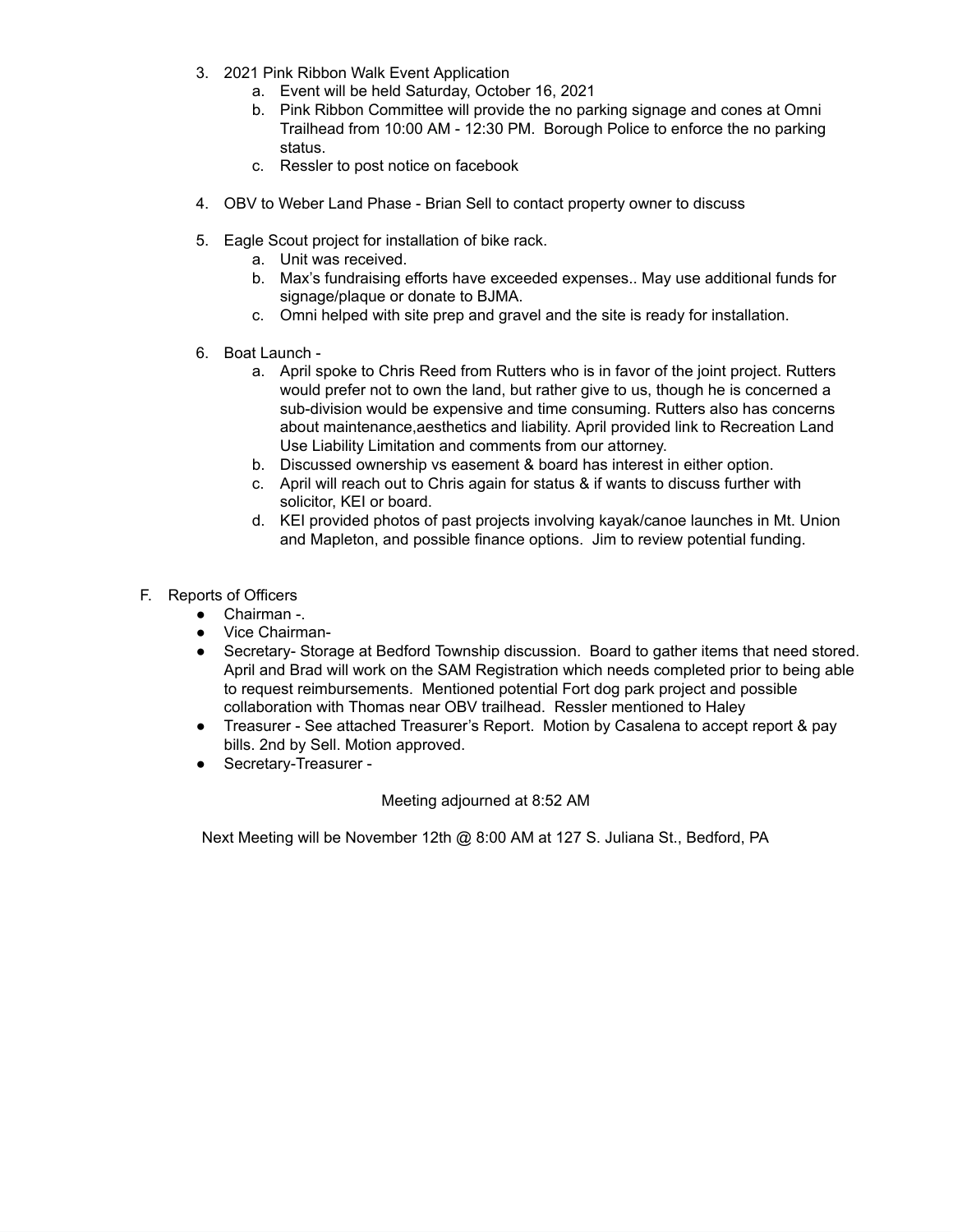- 3. 2021 Pink Ribbon Walk Event Application
	- a. Event will be held Saturday, October 16, 2021
	- b. Pink Ribbon Committee will provide the no parking signage and cones at Omni Trailhead from 10:00 AM - 12:30 PM. Borough Police to enforce the no parking status.
	- c. Ressler to post notice on facebook
- 4. OBV to Weber Land Phase Brian Sell to contact property owner to discuss
- 5. Eagle Scout project for installation of bike rack.
	- a. Unit was received.
	- b. Max's fundraising efforts have exceeded expenses.. May use additional funds for signage/plaque or donate to BJMA.
	- c. Omni helped with site prep and gravel and the site is ready for installation.
- 6. Boat Launch
	- a. April spoke to Chris Reed from Rutters who is in favor of the joint project. Rutters would prefer not to own the land, but rather give to us, though he is concerned a sub-division would be expensive and time consuming. Rutters also has concerns about maintenance,aesthetics and liability. April provided link to Recreation Land Use Liability Limitation and comments from our attorney.
	- b. Discussed ownership vs easement & board has interest in either option.
	- c. April will reach out to Chris again for status & if wants to discuss further with solicitor, KEI or board.
	- d. KEI provided photos of past projects involving kayak/canoe launches in Mt. Union and Mapleton, and possible finance options. Jim to review potential funding.
- F. Reports of Officers
	- Chairman -.
	- Vice Chairman-
	- Secretary- Storage at Bedford Township discussion. Board to gather items that need stored. April and Brad will work on the SAM Registration which needs completed prior to being able to request reimbursements. Mentioned potential Fort dog park project and possible collaboration with Thomas near OBV trailhead. Ressler mentioned to Haley
	- Treasurer See attached Treasurer's Report. Motion by Casalena to accept report & pay bills. 2nd by Sell. Motion approved.
	- Secretary-Treasurer -

## Meeting adjourned at 8:52 AM

Next Meeting will be November 12th @ 8:00 AM at 127 S. Juliana St., Bedford, PA